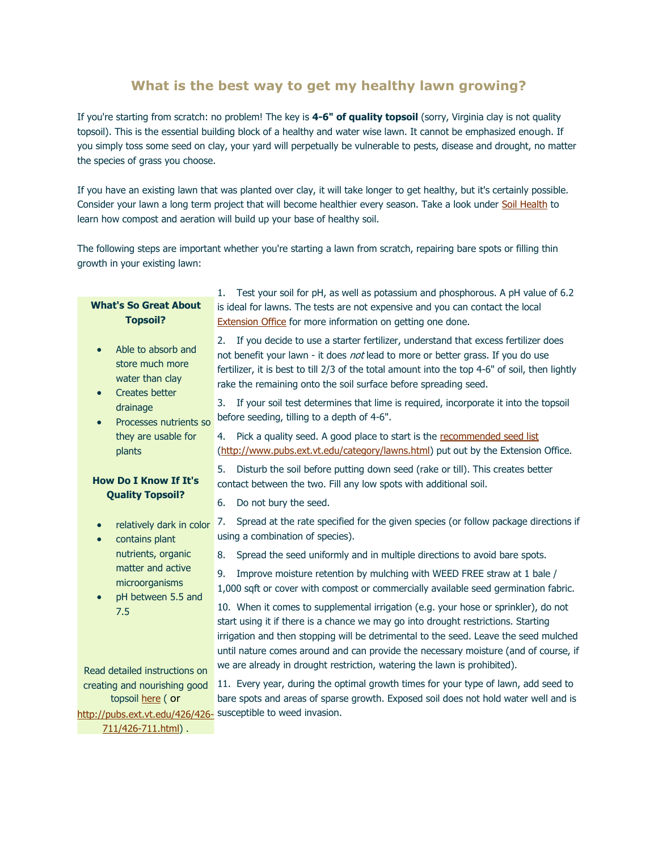## **What is the best way to get my healthy lawn growing?**

If you're starting from scratch: no problem! The key is **4-6" of quality topsoil** (sorry, Virginia clay is not quality topsoil). This is the essential building block of a healthy and water wise lawn. It cannot be emphasized enough. If you simply toss some seed on clay, your yard will perpetually be vulnerable to pests, disease and drought, no matter the species of grass you choose.

If you have an existing lawn that was planted over clay, it will take longer to get healthy, but it's certainly possible. Consider your lawn a long term project that will become healthier every season. Take a look under [Soil Health](https://www.charlottesville.org/Index.aspx?page=2828#soilhealth) to learn how compost and aeration will build up your base of healthy soil.

The following steps are important whether you're starting a lawn from scratch, repairing bare spots or filling thin growth in your existing lawn:

|                                                                                                             | 1. Test your soil for pH, as well as potassium and phosphorous. A pH value of 6.2                                                                                                                                                                                                                                                                      |
|-------------------------------------------------------------------------------------------------------------|--------------------------------------------------------------------------------------------------------------------------------------------------------------------------------------------------------------------------------------------------------------------------------------------------------------------------------------------------------|
| <b>What's So Great About</b>                                                                                | is ideal for lawns. The tests are not expensive and you can contact the local                                                                                                                                                                                                                                                                          |
| <b>Topsoil?</b>                                                                                             | <b>Extension Office</b> for more information on getting one done.                                                                                                                                                                                                                                                                                      |
| Able to absorb and<br>$\bullet$<br>store much more<br>water than clay<br><b>Creates better</b><br>$\bullet$ | If you decide to use a starter fertilizer, understand that excess fertilizer does<br>2.<br>not benefit your lawn - it does not lead to more or better grass. If you do use<br>fertilizer, it is best to till 2/3 of the total amount into the top 4-6" of soil, then lightly<br>rake the remaining onto the soil surface before spreading seed.        |
| drainage<br>Processes nutrients so<br>$\bullet$                                                             | If your soil test determines that lime is required, incorporate it into the topsoil<br>3.<br>before seeding, tilling to a depth of 4-6".                                                                                                                                                                                                               |
| they are usable for<br>plants                                                                               | Pick a quality seed. A good place to start is the recommended seed list<br>4.<br>(http://www.pubs.ext.vt.edu/category/lawns.html) put out by the Extension Office.                                                                                                                                                                                     |
| <b>How Do I Know If It's</b>                                                                                | Disturb the soil before putting down seed (rake or till). This creates better<br>5.<br>contact between the two. Fill any low spots with additional soil.                                                                                                                                                                                               |
| <b>Quality Topsoil?</b>                                                                                     | 6.<br>Do not bury the seed.                                                                                                                                                                                                                                                                                                                            |
| relatively dark in color<br>$\bullet$<br>contains plant<br>$\bullet$                                        | Spread at the rate specified for the given species (or follow package directions if<br>7.<br>using a combination of species).                                                                                                                                                                                                                          |
| nutrients, organic                                                                                          | Spread the seed uniformly and in multiple directions to avoid bare spots.<br>8.                                                                                                                                                                                                                                                                        |
| matter and active<br>microorganisms<br>pH between 5.5 and<br>$\bullet$                                      | Improve moisture retention by mulching with WEED FREE straw at 1 bale /<br>9.<br>1,000 sqft or cover with compost or commercially available seed germination fabric.                                                                                                                                                                                   |
| 7.5                                                                                                         | 10. When it comes to supplemental irrigation (e.g. your hose or sprinkler), do not<br>start using it if there is a chance we may go into drought restrictions. Starting<br>irrigation and then stopping will be detrimental to the seed. Leave the seed mulched<br>until nature comes around and can provide the necessary moisture (and of course, if |
| Read detailed instructions on                                                                               | we are already in drought restriction, watering the lawn is prohibited).                                                                                                                                                                                                                                                                               |
| creating and nourishing good<br>topsoil here (or                                                            | 11. Every year, during the optimal growth times for your type of lawn, add seed to<br>bare spots and areas of sparse growth. Exposed soil does not hold water well and is                                                                                                                                                                              |
| http://pubs.ext.vt.edu/426/426-                                                                             | susceptible to weed invasion.                                                                                                                                                                                                                                                                                                                          |
| $711/426 - 711.html$ .                                                                                      |                                                                                                                                                                                                                                                                                                                                                        |